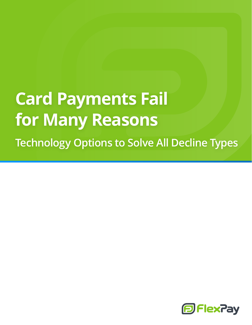# **Card Payments Fail for Many Reasons Technology Options to Solve All Decline Types**

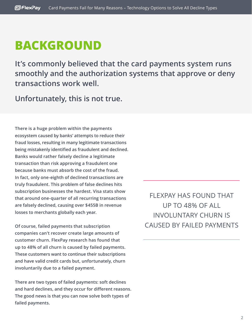#### **BACKGROUND**

**It's commonly believed that the card payments system runs smoothly and the authorization systems that approve or deny transactions work well.**

**Unfortunately, this is not true.**

**There is a huge problem within the payments ecosystem caused by banks' attempts to reduce their fraud losses, resulting in many legitimate transactions being mistakenly identified as fraudulent and declined. Banks would rather falsely decline a legitimate transaction than risk approving a fraudulent one because banks must absorb the cost of the fraud. In fact, only one-eighth of declined transactions are truly fraudulent. This problem of false declines hits subscription businesses the hardest. Visa stats show that around one-quarter of all recurring transactions are falsely declined, causing over \$455B in revenue losses to merchants globally each year.**

**Of course, failed payments that subscription companies can't recover create large amounts of customer churn. FlexPay research has found that up to 48% of all churn is caused by failed payments. These customers want to continue their subscriptions and have valid credit cards but, unfortunately, churn involuntarily due to a failed payment.**

**There are two types of failed payments: soft declines and hard declines, and they occur for different reasons. The good news is that you can now solve both types of failed payments.**

FLEXPAY HAS FOUND THAT UP TO 48% OF ALL INVOLUNTARY CHURN IS CAUSED BY FAILED PAYMENTS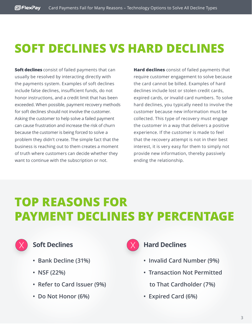## **SOFT DECLINES VS HARD DECLINES**

**Soft declines** consist of failed payments that can usually be resolved by interacting directly with the payments system. Examples of soft declines include false declines, insufficient funds, do not honor instructions, and a credit limit that has been exceeded. When possible, payment recovery methods for soft declines should not involve the customer. Asking the customer to help solve a failed payment can cause frustration and increase the risk of churn because the customer is being forced to solve a problem they didn't create. The simple fact that the business is reaching out to them creates a moment of truth where customers can decide whether they want to continue with the subscription or not.

**Hard declines** consist of failed payments that require customer engagement to solve because the card cannot be billed. Examples of hard declines include lost or stolen credit cards, expired cards, or invalid card numbers. To solve hard declines, you typically need to involve the customer because new information must be collected. This type of recovery must engage the customer in a way that delivers a positive experience. If the customer is made to feel that the recovery attempt is not in their best interest, it is very easy for them to simply not provide new information, thereby passively ending the relationship.

### **TOP REASONS FOR PAYMENT DECLINES BY PERCENTAGE**



#### **Soft Declines**

- **Bank Decline (31%)**
- **NSF (22%)**
- **Refer to Card Issuer (9%)**
- **Do Not Honor (6%)**



#### **Hard Declines**

- **Invalid Card Number (9%)**
- **Transaction Not Permitted**
	- **to That Cardholder (7%)**
- **Expired Card (6%)**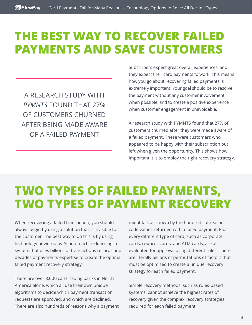#### **THE BEST WAY TO RECOVER FAILED PAYMENTS AND SAVE CUSTOMERS**

A RESEARCH STUDY WITH *PYMNTS* FOUND THAT 27% OF CUSTOMERS CHURNED AFTER BEING MADE AWARE OF A FAILED PAYMENT

Subscribers expect great overall experiences, and they expect their card payments to work. This means how you go about recovering failed payments is extremely important. Your goal should be to resolve the payment without any customer involvement when possible, and to create a positive experience when customer engagement in unavoidable.

A research study with PYMNTS found that 27% of customers churned after they were made aware of a failed payment. These were customers who appeared to be happy with their subscription but left when given the opportunity. This shows how important it is to employ the right recovery strategy.

### **TWO TYPES OF FAILED PAYMENTS, TWO TYPES OF PAYMENT RECOVERY**

When recovering a failed transaction, you should always begin by using a solution that is invisible to the customer. The best way to do this is by using technology powered by AI and machine learning, a system that uses billions of transactions records and decades of payments expertise to create the optimal failed payment recovery strategy.

There are over 8,000 card-issuing banks in North America alone, which all use their own unique algorithms to decide which payment transaction requests are approved, and which are declined. There are also hundreds of reasons why a payment might fail, as shown by the hundreds of reason code values returned with a failed payment. Plus, every different type of card, such as corporate cards, rewards cards, and ATM cards, are all evaluated for approval using different rules. There are literally billions of permutations of factors that must be optimized to create a unique recovery strategy for each failed payment.

Simple recovery methods, such as rules-based systems, cannot achieve the highest rates of recovery given the complex recovery strategies required for each failed payment.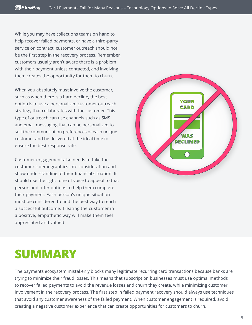While you may have collections teams on hand to help recover failed payments, or have a third-party service on contract, customer outreach should not be the first step in the recovery process. Remember, customers usually aren't aware there is a problem with their payment unless contacted, and involving them creates the opportunity for them to churn.

When you absolutely must involve the customer, such as when there is a hard decline, the best option is to use a personalized customer outreach strategy that collaborates with the customer. This type of outreach can use channels such as SMS and email messaging that can be personalized to suit the communication preferences of each unique customer and be delivered at the ideal time to ensure the best response rate.

Customer engagement also needs to take the customer's demographics into consideration and show understanding of their financial situation. It should use the right tone of voice to appeal to that person and offer options to help them complete their payment. Each person's unique situation must be considered to find the best way to reach a successful outcome. Treating the customer in a positive, empathetic way will make them feel appreciated and valued.



### **SUMMARY**

The payments ecosystem mistakenly blocks many legitimate recurring card transactions because banks are trying to minimize their fraud losses. This means that subscription businesses must use optimal methods to recover failed payments to avoid the revenue losses and churn they create, while minimizing customer involvement in the recovery process. The first step in failed payment recovery should always use techniques that avoid any customer awareness of the failed payment. When customer engagement is required, avoid creating a negative customer experience that can create opportunities for customers to churn.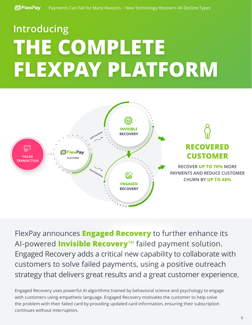# **Introducing THE COMPLETE FLEXPAY PLATFORM**



FlexPay announces **Engaged Recovery** to further enhance its AI-powered **Invisible RecoveryTM** failed payment solution. Engaged Recovery adds a critical new capability to collaborate with customers to solve failed payments, using a positive outreach strategy that delivers great results and a great customer experience.

Engaged Recovery uses powerful AI algorithms trained by behavioral science and psychology to engage with customers using empathetic language. Engaged Recovery motivates the customer to help solve the problem with their failed card by providing updated card information, ensuring their subscription continues without interruption.